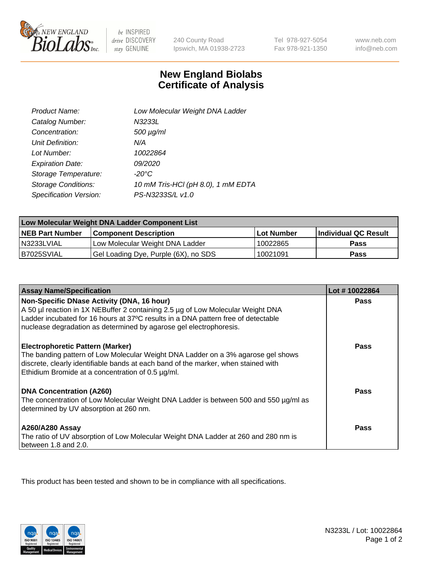

 $be$  INSPIRED drive DISCOVERY stay GENUINE

240 County Road Ipswich, MA 01938-2723 Tel 978-927-5054 Fax 978-921-1350

www.neb.com info@neb.com

## **New England Biolabs Certificate of Analysis**

| Product Name:              | Low Molecular Weight DNA Ladder    |
|----------------------------|------------------------------------|
| Catalog Number:            | N3233L                             |
| Concentration:             | $500 \mu g/ml$                     |
| Unit Definition:           | N/A                                |
| Lot Number:                | 10022864                           |
| <b>Expiration Date:</b>    | 09/2020                            |
| Storage Temperature:       | $-20^{\circ}$ C                    |
| <b>Storage Conditions:</b> | 10 mM Tris-HCl (pH 8.0), 1 mM EDTA |
| Specification Version:     | PS-N3233S/L v1.0                   |

| Low Molecular Weight DNA Ladder Component List |                                      |                   |                      |  |
|------------------------------------------------|--------------------------------------|-------------------|----------------------|--|
| <b>NEB Part Number</b>                         | <b>Component Description</b>         | <b>Lot Number</b> | Individual QC Result |  |
| N3233LVIAL                                     | Low Molecular Weight DNA Ladder      | 10022865          | Pass                 |  |
| B7025SVIAL                                     | Gel Loading Dye, Purple (6X), no SDS | 10021091          | <b>Pass</b>          |  |

| <b>Assay Name/Specification</b>                                                                                                                                                                                                                                        | Lot #10022864 |
|------------------------------------------------------------------------------------------------------------------------------------------------------------------------------------------------------------------------------------------------------------------------|---------------|
| Non-Specific DNase Activity (DNA, 16 hour)<br>A 50 µl reaction in 1X NEBuffer 2 containing 2.5 µg of Low Molecular Weight DNA                                                                                                                                          | <b>Pass</b>   |
| Ladder incubated for 16 hours at 37°C results in a DNA pattern free of detectable<br>nuclease degradation as determined by agarose gel electrophoresis.                                                                                                                |               |
| <b>Electrophoretic Pattern (Marker)</b><br>The banding pattern of Low Molecular Weight DNA Ladder on a 3% agarose gel shows<br>discrete, clearly identifiable bands at each band of the marker, when stained with<br>Ethidium Bromide at a concentration of 0.5 µg/ml. | Pass          |
| <b>DNA Concentration (A260)</b><br>The concentration of Low Molecular Weight DNA Ladder is between 500 and 550 µg/ml as<br>determined by UV absorption at 260 nm.                                                                                                      | Pass          |
| <b>A260/A280 Assay</b><br>The ratio of UV absorption of Low Molecular Weight DNA Ladder at 260 and 280 nm is<br>between 1.8 and 2.0.                                                                                                                                   | Pass          |

This product has been tested and shown to be in compliance with all specifications.